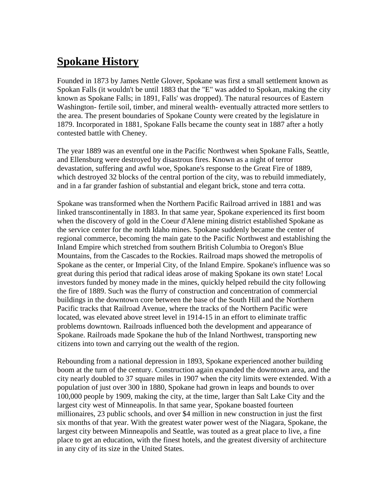## **Spokane History**

Founded in 1873 by James Nettle Glover, Spokane was first a small settlement known as Spokan Falls (it wouldn't be until 1883 that the "E" was added to Spokan, making the city known as Spokane Falls; in 1891, Falls' was dropped). The natural resources of Eastern Washington- fertile soil, timber, and mineral wealth- eventually attracted more settlers to the area. The present boundaries of Spokane County were created by the legislature in 1879. Incorporated in 1881, Spokane Falls became the county seat in 1887 after a hotly contested battle with Cheney.

The year 1889 was an eventful one in the Pacific Northwest when Spokane Falls, Seattle, and Ellensburg were destroyed by disastrous fires. Known as a night of terror devastation, suffering and awful woe, Spokane's response to the Great Fire of 1889, which destroyed 32 blocks of the central portion of the city, was to rebuild immediately, and in a far grander fashion of substantial and elegant brick, stone and terra cotta.

Spokane was transformed when the Northern Pacific Railroad arrived in 1881 and was linked transcontinentally in 1883. In that same year, Spokane experienced its first boom when the discovery of gold in the Coeur d'Alene mining district established Spokane as the service center for the north Idaho mines. Spokane suddenly became the center of regional commerce, becoming the main gate to the Pacific Northwest and establishing the Inland Empire which stretched from southern British Columbia to Oregon's Blue Mountains, from the Cascades to the Rockies. Railroad maps showed the metropolis of Spokane as the center, or Imperial City, of the Inland Empire. Spokane's influence was so great during this period that radical ideas arose of making Spokane its own state! Local investors funded by money made in the mines, quickly helped rebuild the city following the fire of 1889. Such was the flurry of construction and concentration of commercial buildings in the downtown core between the base of the South Hill and the Northern Pacific tracks that Railroad Avenue, where the tracks of the Northern Pacific were located, was elevated above street level in 1914-15 in an effort to eliminate traffic problems downtown. Railroads influenced both the development and appearance of Spokane. Railroads made Spokane the hub of the Inland Northwest, transporting new citizens into town and carrying out the wealth of the region.

Rebounding from a national depression in 1893, Spokane experienced another building boom at the turn of the century. Construction again expanded the downtown area, and the city nearly doubled to 37 square miles in 1907 when the city limits were extended. With a population of just over 300 in 1880, Spokane had grown in leaps and bounds to over 100,000 people by 1909, making the city, at the time, larger than Salt Lake City and the largest city west of Minneapolis. In that same year, Spokane boasted fourteen millionaires, 23 public schools, and over \$4 million in new construction in just the first six months of that year. With the greatest water power west of the Niagara, Spokane, the largest city between Minneapolis and Seattle, was touted as a great place to live, a fine place to get an education, with the finest hotels, and the greatest diversity of architecture in any city of its size in the United States.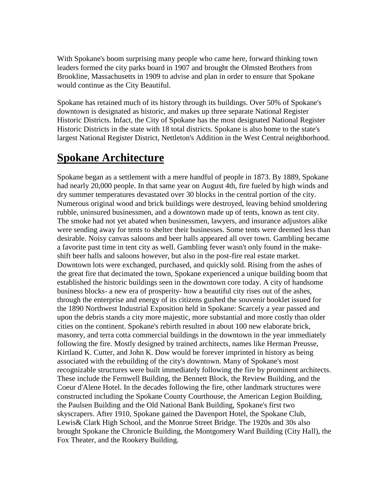With Spokane's boom surprising many people who came here, forward thinking town leaders formed the city parks board in 1907 and brought the Olmsted Brothers from Brookline, Massachusetts in 1909 to advise and plan in order to ensure that Spokane would continue as the City Beautiful.

Spokane has retained much of its history through its buildings. Over 50% of Spokane's downtown is designated as historic, and makes up three separate National Register Historic Districts. Infact, the City of Spokane has the most designated National Register Historic Districts in the state with 18 total districts. Spokane is also home to the state's largest National Register District, Nettleton's Addition in the West Central neighborhood.

## **Spokane Architecture**

Spokane began as a settlement with a mere handful of people in 1873. By 1889, Spokane had nearly 20,000 people. In that same year on August 4th, fire fueled by high winds and dry summer temperatures devastated over 30 blocks in the central portion of the city. Numerous original wood and brick buildings were destroyed, leaving behind smoldering rubble, uninsured businessmen, and a downtown made up of tents, known as tent city. The smoke had not yet abated when businessmen, lawyers, and insurance adjustors alike were sending away for tents to shelter their businesses. Some tents were deemed less than desirable. Noisy canvas saloons and beer halls appeared all over town. Gambling became a favorite past time in tent city as well. Gambling fever wasn't only found in the make shift beer halls and saloons however, but also in the post-fire real estate market. Downtown lots were exchanged, purchased, and quickly sold. Rising from the ashes of the great fire that decimated the town, Spokane experienced a unique building boom that established the historic buildings seen in the downtown core today. A city of handsome business blocks- a new era of prosperity- how a beautiful city rises out of the ashes, through the enterprise and energy of its citizens gushed the souvenir booklet issued for the 1890 Northwest Industrial Exposition held in Spokane: Scarcely a year passed and upon the debris stands a city more majestic, more substantial and more costly than older cities on the continent. Spokane's rebirth resulted in about 100 new elaborate brick, masonry, and terra cotta commercial buildings in the downtown in the year immediately following the fire. Mostly designed by trained architects, names like Herman Preusse, Kirtland K. Cutter, and John K. Dow would be forever imprinted in history as being associated with the rebuilding of the city's downtown. Many of Spokane's most recognizable structures were built immediately following the fire by prominent architects. These include the Fernwell Building, the Bennett Block, the Review Building, and the Coeur d'Alene Hotel. In the decades following the fire, other landmark structures were constructed including the Spokane County Courthouse, the American Legion Building, the Paulsen Building and the Old National Bank Building, Spokane's first two skyscrapers. After 1910, Spokane gained the Davenport Hotel, the Spokane Club, Lewis& Clark High School, and the Monroe Street Bridge. The 1920s and 30s also brought Spokane the Chronicle Building, the Montgomery Ward Building (City Hall), the Fox Theater, and the Rookery Building.